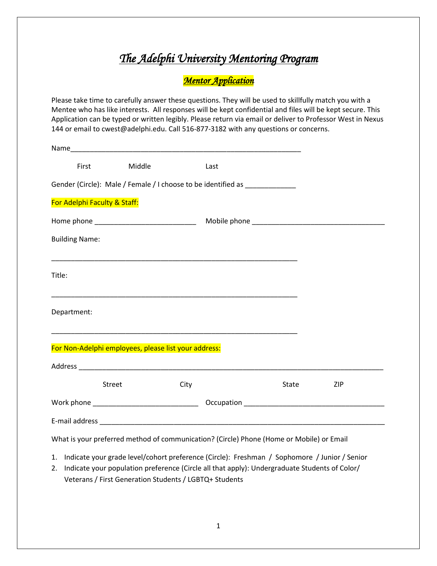## *The Adelphi University Mentoring Program*

*Mentor Application* 

Please take time to carefully answer these questions. They will be used to skillfully match you with a Mentee who has like interests. All responses will be kept confidential and files will be kept secure. This Application can be typed or written legibly. Please return via email or deliver to Professor West in Nexus 144 or email to cwest@adelphi.edu. Call 516-877-3182 with any questions or concerns.

| <b>First</b>                                         | Middle |      | Last                                                                                                                                                                                                                                                                                                                                                                                                 |       |            |
|------------------------------------------------------|--------|------|------------------------------------------------------------------------------------------------------------------------------------------------------------------------------------------------------------------------------------------------------------------------------------------------------------------------------------------------------------------------------------------------------|-------|------------|
|                                                      |        |      | Gender (Circle): Male / Female / I choose to be identified as _________________                                                                                                                                                                                                                                                                                                                      |       |            |
| For Adelphi Faculty & Staff:                         |        |      |                                                                                                                                                                                                                                                                                                                                                                                                      |       |            |
|                                                      |        |      |                                                                                                                                                                                                                                                                                                                                                                                                      |       |            |
| <b>Building Name:</b>                                |        |      |                                                                                                                                                                                                                                                                                                                                                                                                      |       |            |
| Title:                                               |        |      |                                                                                                                                                                                                                                                                                                                                                                                                      |       |            |
| Department:                                          |        |      |                                                                                                                                                                                                                                                                                                                                                                                                      |       |            |
| For Non-Adelphi employees, please list your address: |        |      | <u> 1989 - Johann Stoff, amerikansk politiker (d. 1989)</u>                                                                                                                                                                                                                                                                                                                                          |       |            |
|                                                      |        |      |                                                                                                                                                                                                                                                                                                                                                                                                      |       |            |
|                                                      | Street | City |                                                                                                                                                                                                                                                                                                                                                                                                      | State | <b>ZIP</b> |
|                                                      |        |      |                                                                                                                                                                                                                                                                                                                                                                                                      |       |            |
|                                                      |        |      |                                                                                                                                                                                                                                                                                                                                                                                                      |       |            |
|                                                      |        |      | What is your preferred method of communication? (Circle) Phone (Home or Mobile) or Email                                                                                                                                                                                                                                                                                                             |       |            |
|                                                      |        |      | 1. Indicate your grade level/cohort preference (Circle): Freshman / Sophomore / Junior / Senior<br>$\frac{1}{2}$ . The state of the state of $\frac{1}{2}$ , $\frac{1}{2}$ , $\frac{1}{2}$ , $\frac{1}{2}$ , $\frac{1}{2}$ , $\frac{1}{2}$ , $\frac{1}{2}$ , $\frac{1}{2}$ , $\frac{1}{2}$ , $\frac{1}{2}$ , $\frac{1}{2}$ , $\frac{1}{2}$ , $\frac{1}{2}$ , $\frac{1}{2}$ , $\frac{1}{2}$ , $\frac$ |       |            |

2. Indicate your population preference (Circle all that apply): Undergraduate Students of Color/ Veterans / First Generation Students / LGBTQ+ Students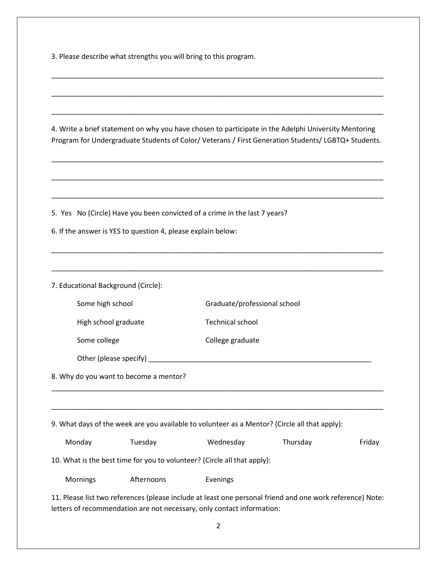3. Please describe what strengths you will bring to this program.

\_\_\_\_\_\_\_\_\_\_\_\_\_\_\_\_\_\_\_\_\_\_\_\_\_\_\_\_\_\_\_\_\_\_\_\_\_\_\_\_\_\_\_\_\_\_\_\_\_\_\_\_\_\_\_\_\_\_\_\_\_\_\_\_\_\_\_\_\_\_\_\_\_\_\_\_\_\_\_\_\_\_\_\_\_ 4. Write a brief statement on why you have chosen to participate in the Adelphi University Mentoring Program for Undergraduate Students of Color/ Veterans / First Generation Students/ LGBTQ+ Students. \_\_\_\_\_\_\_\_\_\_\_\_\_\_\_\_\_\_\_\_\_\_\_\_\_\_\_\_\_\_\_\_\_\_\_\_\_\_\_\_\_\_\_\_\_\_\_\_\_\_\_\_\_\_\_\_\_\_\_\_\_\_\_\_\_\_\_\_\_\_\_\_\_\_\_\_\_\_\_\_\_\_\_\_\_ \_\_\_\_\_\_\_\_\_\_\_\_\_\_\_\_\_\_\_\_\_\_\_\_\_\_\_\_\_\_\_\_\_\_\_\_\_\_\_\_\_\_\_\_\_\_\_\_\_\_\_\_\_\_\_\_\_\_\_\_\_\_\_\_\_\_\_\_\_\_\_\_\_\_\_\_\_\_\_\_\_\_\_\_\_ \_\_\_\_\_\_\_\_\_\_\_\_\_\_\_\_\_\_\_\_\_\_\_\_\_\_\_\_\_\_\_\_\_\_\_\_\_\_\_\_\_\_\_\_\_\_\_\_\_\_\_\_\_\_\_\_\_\_\_\_\_\_\_\_\_\_\_\_\_\_\_\_\_\_\_\_\_\_\_\_\_\_\_\_\_ 5. Yes No (Circle) Have you been convicted of a crime in the last 7 years? 6. If the answer is YES to question 4, please explain below: \_\_\_\_\_\_\_\_\_\_\_\_\_\_\_\_\_\_\_\_\_\_\_\_\_\_\_\_\_\_\_\_\_\_\_\_\_\_\_\_\_\_\_\_\_\_\_\_\_\_\_\_\_\_\_\_\_\_\_\_\_\_\_\_\_\_\_\_\_\_\_\_\_\_\_\_\_\_\_\_\_\_\_\_\_ \_\_\_\_\_\_\_\_\_\_\_\_\_\_\_\_\_\_\_\_\_\_\_\_\_\_\_\_\_\_\_\_\_\_\_\_\_\_\_\_\_\_\_\_\_\_\_\_\_\_\_\_\_\_\_\_\_\_\_\_\_\_\_\_\_\_\_\_\_\_\_\_\_\_\_\_\_\_\_\_\_\_\_\_\_ 7. Educational Background (Circle): Some high school Graduate/professional school High school graduate Technical school Some college College graduate Other (please specify) 8. Why do you want to become a mentor? \_\_\_\_\_\_\_\_\_\_\_\_\_\_\_\_\_\_\_\_\_\_\_\_\_\_\_\_\_\_\_\_\_\_\_\_\_\_\_\_\_\_\_\_\_\_\_\_\_\_\_\_\_\_\_\_\_\_\_\_\_\_\_\_\_\_\_\_\_\_\_\_\_\_\_\_\_\_\_\_\_\_\_\_\_ \_\_\_\_\_\_\_\_\_\_\_\_\_\_\_\_\_\_\_\_\_\_\_\_\_\_\_\_\_\_\_\_\_\_\_\_\_\_\_\_\_\_\_\_\_\_\_\_\_\_\_\_\_\_\_\_\_\_\_\_\_\_\_\_\_\_\_\_\_\_\_\_\_\_\_\_\_\_\_\_\_\_\_\_\_ 9. What days of the week are you available to volunteer as a Mentor? (Circle all that apply): Monday Tuesday Wednesday Thursday Friday 10. What is the best time for you to volunteer? (Circle all that apply): Mornings Afternoons Evenings 11. Please list two references (please include at least one personal friend and one work reference) Note: letters of recommendation are not necessary, only contact information:

\_\_\_\_\_\_\_\_\_\_\_\_\_\_\_\_\_\_\_\_\_\_\_\_\_\_\_\_\_\_\_\_\_\_\_\_\_\_\_\_\_\_\_\_\_\_\_\_\_\_\_\_\_\_\_\_\_\_\_\_\_\_\_\_\_\_\_\_\_\_\_\_\_\_\_\_\_\_\_\_\_\_\_\_\_

\_\_\_\_\_\_\_\_\_\_\_\_\_\_\_\_\_\_\_\_\_\_\_\_\_\_\_\_\_\_\_\_\_\_\_\_\_\_\_\_\_\_\_\_\_\_\_\_\_\_\_\_\_\_\_\_\_\_\_\_\_\_\_\_\_\_\_\_\_\_\_\_\_\_\_\_\_\_\_\_\_\_\_\_\_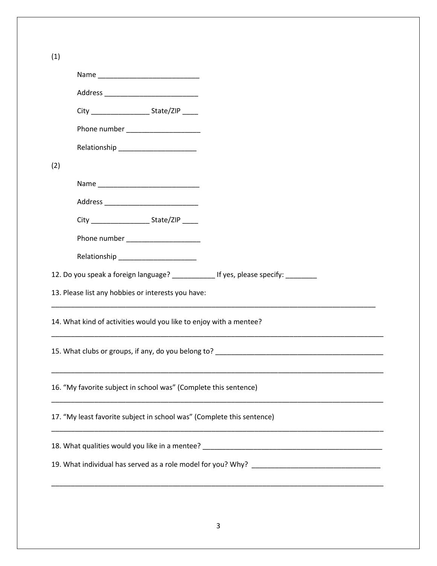| (1) |                                                                                                                |                                   |                                                                                       |
|-----|----------------------------------------------------------------------------------------------------------------|-----------------------------------|---------------------------------------------------------------------------------------|
|     |                                                                                                                |                                   |                                                                                       |
|     |                                                                                                                |                                   |                                                                                       |
|     |                                                                                                                |                                   |                                                                                       |
|     |                                                                                                                |                                   |                                                                                       |
|     |                                                                                                                |                                   |                                                                                       |
| (2) |                                                                                                                |                                   |                                                                                       |
|     |                                                                                                                |                                   |                                                                                       |
|     |                                                                                                                |                                   |                                                                                       |
|     |                                                                                                                |                                   |                                                                                       |
|     |                                                                                                                | Phone number ____________________ |                                                                                       |
|     | Relationship experience and the set of the set of the set of the set of the set of the set of the set of the s |                                   |                                                                                       |
|     |                                                                                                                |                                   | 12. Do you speak a foreign language? ______________ If yes, please specify: _________ |
|     | 13. Please list any hobbies or interests you have:                                                             |                                   |                                                                                       |
|     | 14. What kind of activities would you like to enjoy with a mentee?                                             |                                   |                                                                                       |
|     |                                                                                                                |                                   |                                                                                       |
|     | 16. "My favorite subject in school was" (Complete this sentence)                                               |                                   |                                                                                       |
|     |                                                                                                                |                                   | 17. "My least favorite subject in school was" (Complete this sentence)                |
|     |                                                                                                                |                                   |                                                                                       |
|     |                                                                                                                |                                   |                                                                                       |